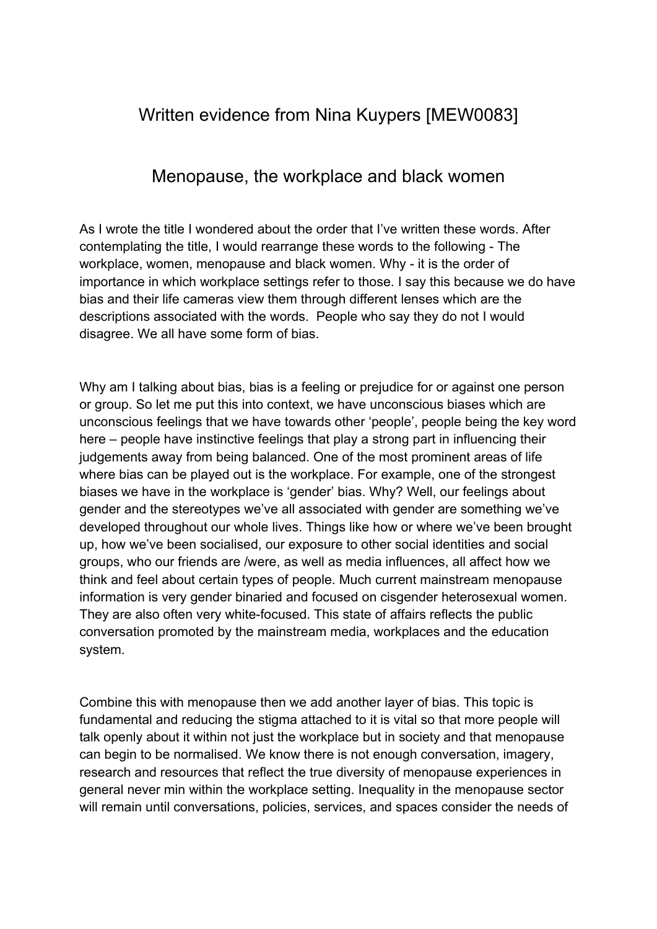## Written evidence from Nina Kuypers [MEW0083]

## Menopause, the workplace and black women

As I wrote the title I wondered about the order that I've written these words. After contemplating the title, I would rearrange these words to the following - The workplace, women, menopause and black women. Why - it is the order of importance in which workplace settings refer to those. I say this because we do have bias and their life cameras view them through different lenses which are the descriptions associated with the words. People who say they do not I would disagree. We all have some form of bias.

Why am I talking about bias, bias is a feeling or prejudice for or against one person or group. So let me put this into context, we have unconscious biases which are unconscious feelings that we have towards other 'people', people being the key word here – people have instinctive feelings that play a strong part in influencing their judgements away from being balanced. One of the most prominent areas of life where bias can be played out is the workplace. For example, one of the strongest biases we have in the workplace is 'gender' bias. Why? Well, our feelings about gender and the stereotypes we've all associated with gender are something we've developed throughout our whole lives. Things like how or where we've been brought up, how we've been socialised, our exposure to other social identities and social groups, who our friends are /were, as well as media influences, all affect how we think and feel about certain types of people. Much current mainstream menopause information is very gender binaried and focused on cisgender heterosexual women. They are also often very white-focused. This state of affairs reflects the public conversation promoted by the mainstream media, workplaces and the education system.

Combine this with menopause then we add another layer of bias. This topic is fundamental and reducing the stigma attached to it is vital so that more people will talk openly about it within not just the workplace but in society and that menopause can begin to be normalised. We know there is not enough conversation, imagery, research and resources that reflect the true diversity of menopause experiences in general never min within the workplace setting. Inequality in the menopause sector will remain until conversations, policies, services, and spaces consider the needs of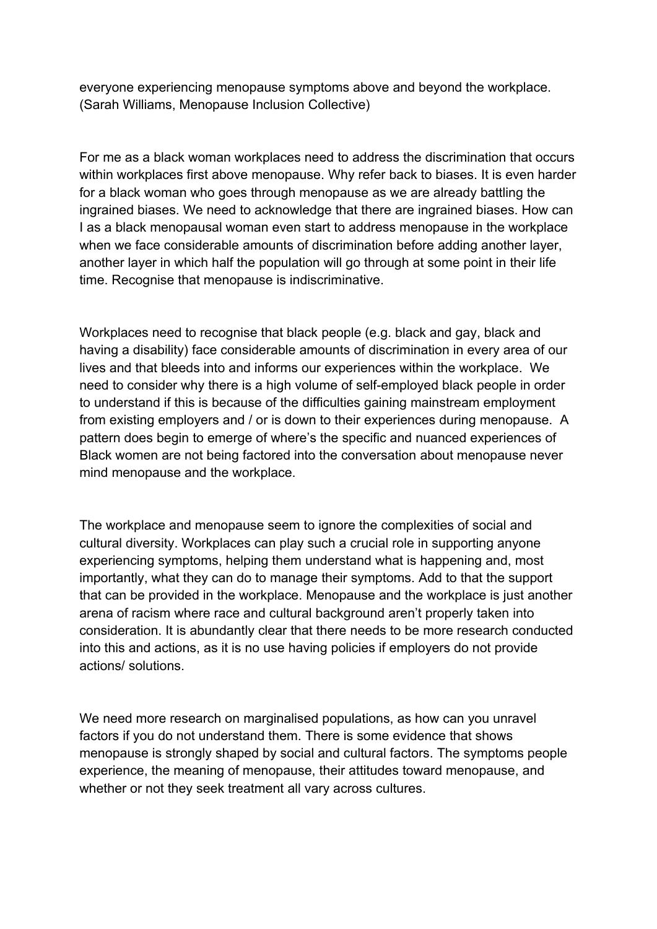everyone experiencing menopause symptoms above and beyond the workplace. (Sarah Williams, Menopause Inclusion Collective)

For me as a black woman workplaces need to address the discrimination that occurs within workplaces first above menopause. Why refer back to biases. It is even harder for a black woman who goes through menopause as we are already battling the ingrained biases. We need to acknowledge that there are ingrained biases. How can I as a black menopausal woman even start to address menopause in the workplace when we face considerable amounts of discrimination before adding another layer, another layer in which half the population will go through at some point in their life time. Recognise that menopause is indiscriminative.

Workplaces need to recognise that black people (e.g. black and gay, black and having a disability) face considerable amounts of discrimination in every area of our lives and that bleeds into and informs our experiences within the workplace. We need to consider why there is a high volume of self-employed black people in order to understand if this is because of the difficulties gaining mainstream employment from existing employers and / or is down to their experiences during menopause. A pattern does begin to emerge of where's the specific and nuanced experiences of Black women are not being factored into the conversation about menopause never mind menopause and the workplace.

The workplace and menopause seem to ignore the complexities of social and cultural diversity. Workplaces can play such a crucial role in supporting anyone experiencing symptoms, helping them understand what is happening and, most importantly, what they can do to manage their symptoms. Add to that the support that can be provided in the workplace. Menopause and the workplace is just another arena of racism where race and cultural background aren't properly taken into consideration. It is abundantly clear that there needs to be more research conducted into this and actions, as it is no use having policies if employers do not provide actions/ solutions.

We need more research on marginalised populations, as how can you unravel factors if you do not understand them. There is some evidence that shows menopause is strongly shaped by social and cultural factors. The symptoms people experience, the meaning of menopause, their attitudes toward menopause, and whether or not they seek treatment all vary across cultures.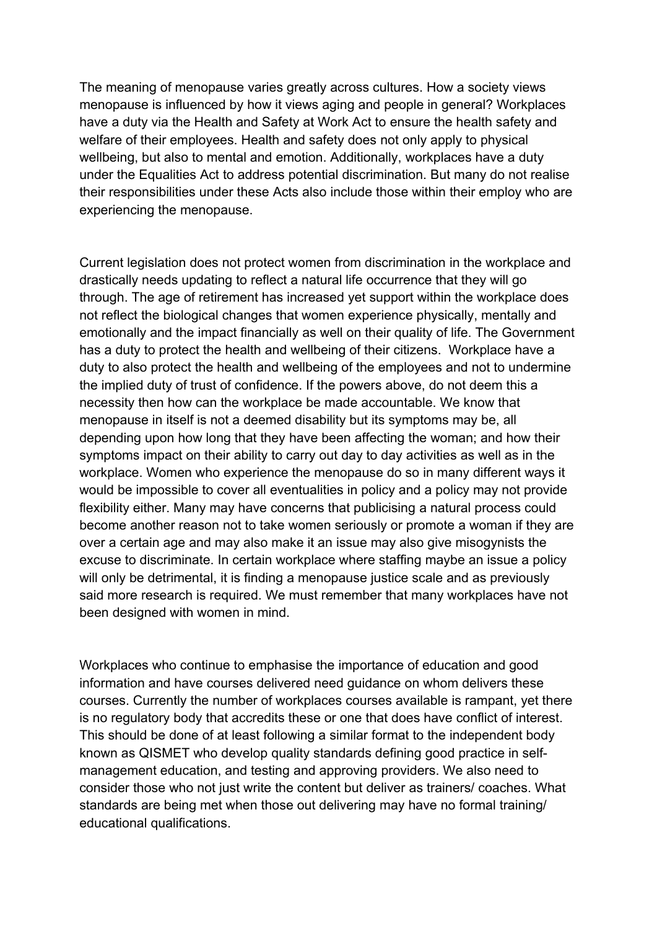The meaning of menopause varies greatly across cultures. How a society views menopause is influenced by how it views aging and people in general? Workplaces have a duty via the Health and Safety at Work Act to ensure the health safety and welfare of their employees. Health and safety does not only apply to physical wellbeing, but also to mental and emotion. Additionally, workplaces have a duty under the Equalities Act to address potential discrimination. But many do not realise their responsibilities under these Acts also include those within their employ who are experiencing the menopause.

Current legislation does not protect women from discrimination in the workplace and drastically needs updating to reflect a natural life occurrence that they will go through. The age of retirement has increased yet support within the workplace does not reflect the biological changes that women experience physically, mentally and emotionally and the impact financially as well on their quality of life. The Government has a duty to protect the health and wellbeing of their citizens. Workplace have a duty to also protect the health and wellbeing of the employees and not to undermine the implied duty of trust of confidence. If the powers above, do not deem this a necessity then how can the workplace be made accountable. We know that menopause in itself is not a deemed disability but its symptoms may be, all depending upon how long that they have been affecting the woman; and how their symptoms impact on their ability to carry out day to day activities as well as in the workplace. Women who experience the menopause do so in many different ways it would be impossible to cover all eventualities in policy and a policy may not provide flexibility either. Many may have concerns that publicising a natural process could become another reason not to take women seriously or promote a woman if they are over a certain age and may also make it an issue may also give misogynists the excuse to discriminate. In certain workplace where staffing maybe an issue a policy will only be detrimental, it is finding a menopause justice scale and as previously said more research is required. We must remember that many workplaces have not been designed with women in mind.

Workplaces who continue to emphasise the importance of education and good information and have courses delivered need guidance on whom delivers these courses. Currently the number of workplaces courses available is rampant, yet there is no regulatory body that accredits these or one that does have conflict of interest. This should be done of at least following a similar format to the independent body known as QISMET who develop quality standards defining good practice in selfmanagement education, and testing and approving providers. We also need to consider those who not just write the content but deliver as trainers/ coaches. What standards are being met when those out delivering may have no formal training/ educational qualifications.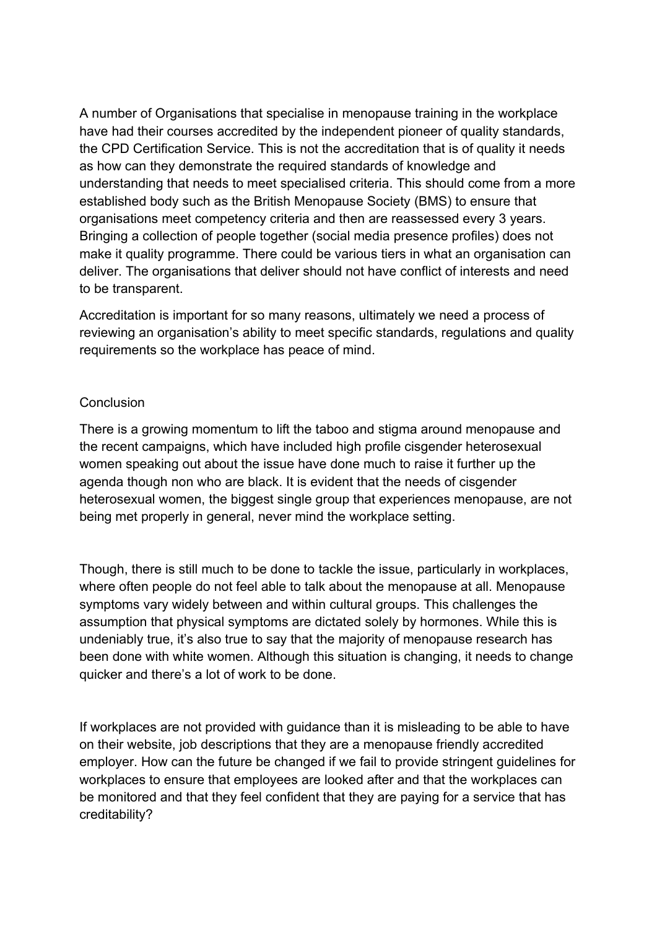A number of Organisations that specialise in menopause training in the workplace have had their courses accredited by the independent pioneer of quality standards, the CPD Certification Service. This is not the accreditation that is of quality it needs as how can they demonstrate the required standards of knowledge and understanding that needs to meet specialised criteria. This should come from a more established body such as the British Menopause Society (BMS) to ensure that organisations meet competency criteria and then are reassessed every 3 years. Bringing a collection of people together (social media presence profiles) does not make it quality programme. There could be various tiers in what an organisation can deliver. The organisations that deliver should not have conflict of interests and need to be transparent.

Accreditation is important for so many reasons, ultimately we need a process of reviewing an organisation's ability to meet specific standards, regulations and quality requirements so the workplace has peace of mind.

## **Conclusion**

There is a growing momentum to lift the taboo and stigma around menopause and the recent campaigns, which have included high profile cisgender heterosexual women speaking out about the issue have done much to raise it further up the agenda though non who are black. It is evident that the needs of cisgender heterosexual women, the biggest single group that experiences menopause, are not being met properly in general, never mind the workplace setting.

Though, there is still much to be done to tackle the issue, particularly in workplaces, where often people do not feel able to talk about the menopause at all. Menopause symptoms vary widely between and within cultural groups. This challenges the assumption that physical symptoms are dictated solely by hormones. While this is undeniably true, it's also true to say that the majority of menopause research has been done with white women. Although this situation is changing, it needs to change quicker and there's a lot of work to be done.

If workplaces are not provided with guidance than it is misleading to be able to have on their website, job descriptions that they are a menopause friendly accredited employer. How can the future be changed if we fail to provide stringent guidelines for workplaces to ensure that employees are looked after and that the workplaces can be monitored and that they feel confident that they are paying for a service that has creditability?